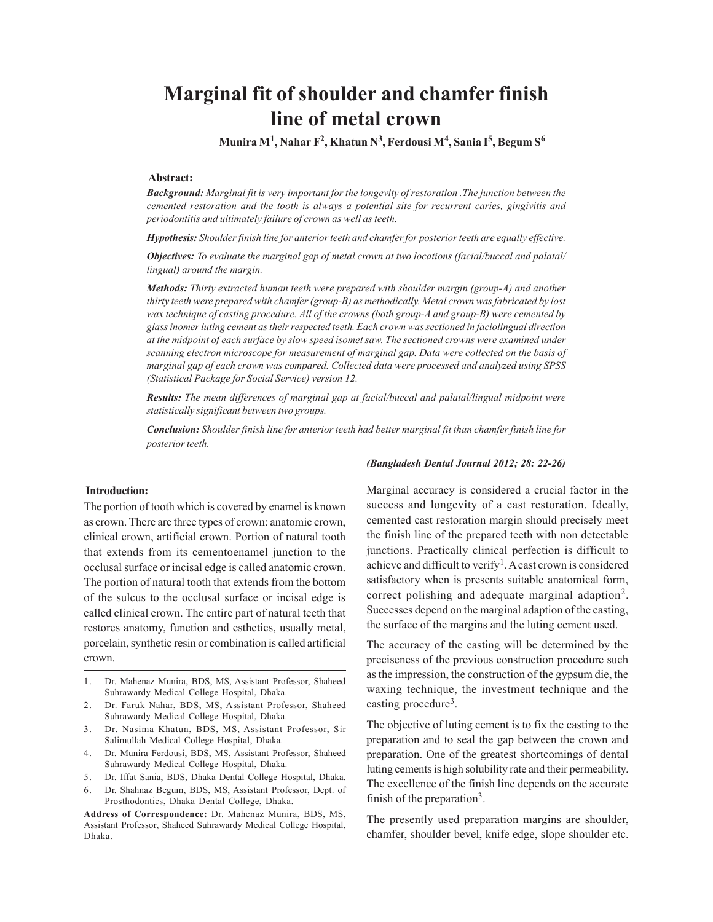# **Marginal fit of shoulder and chamfer finish line of metal crown**

 **Munira M<sup>1</sup> , Nahar F<sup>2</sup> , Khatun N<sup>3</sup> , Ferdousi M<sup>4</sup> , Sania I<sup>5</sup> , Begum S<sup>6</sup>**

### **Abstract:**

*Background: Marginal fit is very important for the longevity of restoration .The junction between the cemented restoration and the tooth is always a potential site for recurrent caries, gingivitis and periodontitis and ultimately failure of crown as well as teeth.*

*Hypothesis: Shoulder finish line for anterior teeth and chamfer for posterior teeth are equally effective.*

*Objectives: To evaluate the marginal gap of metal crown at two locations (facial/buccal and palatal/ lingual) around the margin.*

*Methods: Thirty extracted human teeth were prepared with shoulder margin (group-A) and another thirty teeth were prepared with chamfer (group-B) as methodically. Metal crown was fabricated by lost wax technique of casting procedure. All of the crowns (both group-A and group-B) were cemented by glass inomer luting cement as their respected teeth. Each crown was sectioned in faciolingual direction at the midpoint of each surface by slow speed isomet saw. The sectioned crowns were examined under scanning electron microscope for measurement of marginal gap. Data were collected on the basis of marginal gap of each crown was compared. Collected data were processed and analyzed using SPSS (Statistical Package for Social Service) version 12.*

*Results: The mean differences of marginal gap at facial/buccal and palatal/lingual midpoint were statistically significant between two groups.*

*Conclusion: Shoulder finish line for anterior teeth had better marginal fit than chamfer finish line for posterior teeth.*

#### **Introduction:**

The portion of tooth which is covered by enamel is known as crown. There are three types of crown: anatomic crown, clinical crown, artificial crown. Portion of natural tooth that extends from its cementoenamel junction to the occlusal surface or incisal edge is called anatomic crown. The portion of natural tooth that extends from the bottom of the sulcus to the occlusal surface or incisal edge is called clinical crown. The entire part of natural teeth that restores anatomy, function and esthetics, usually metal, porcelain, synthetic resin or combination is called artificial crown.

- 1. Dr. Mahenaz Munira, BDS, MS, Assistant Professor, Shaheed Suhrawardy Medical College Hospital, Dhaka.
- 2. Dr. Faruk Nahar, BDS, MS, Assistant Professor, Shaheed Suhrawardy Medical College Hospital, Dhaka.
- 3. Dr. Nasima Khatun, BDS, MS, Assistant Professor, Sir Salimullah Medical College Hospital, Dhaka.
- 4. Dr. Munira Ferdousi, BDS, MS, Assistant Professor, Shaheed Suhrawardy Medical College Hospital, Dhaka.
- 5. Dr. Iffat Sania, BDS, Dhaka Dental College Hospital, Dhaka.
- 6. Dr. Shahnaz Begum, BDS, MS, Assistant Professor, Dept. of Prosthodontics, Dhaka Dental College, Dhaka.

**Address of Correspondence:** Dr. Mahenaz Munira, BDS, MS, Assistant Professor, Shaheed Suhrawardy Medical College Hospital, Dhaka.

#### *(Bangladesh Dental Journal 2012; 28: 22-26)*

Marginal accuracy is considered a crucial factor in the success and longevity of a cast restoration. Ideally, cemented cast restoration margin should precisely meet the finish line of the prepared teeth with non detectable junctions. Practically clinical perfection is difficult to achieve and difficult to verify<sup>1</sup>. A cast crown is considered satisfactory when is presents suitable anatomical form, correct polishing and adequate marginal adaption<sup>2</sup>. Successes depend on the marginal adaption of the casting, the surface of the margins and the luting cement used.

The accuracy of the casting will be determined by the preciseness of the previous construction procedure such as the impression, the construction of the gypsum die, the waxing technique, the investment technique and the casting procedure<sup>3</sup>.

The objective of luting cement is to fix the casting to the preparation and to seal the gap between the crown and preparation. One of the greatest shortcomings of dental luting cements is high solubility rate and their permeability. The excellence of the finish line depends on the accurate finish of the preparation<sup>3</sup>.

The presently used preparation margins are shoulder, chamfer, shoulder bevel, knife edge, slope shoulder etc.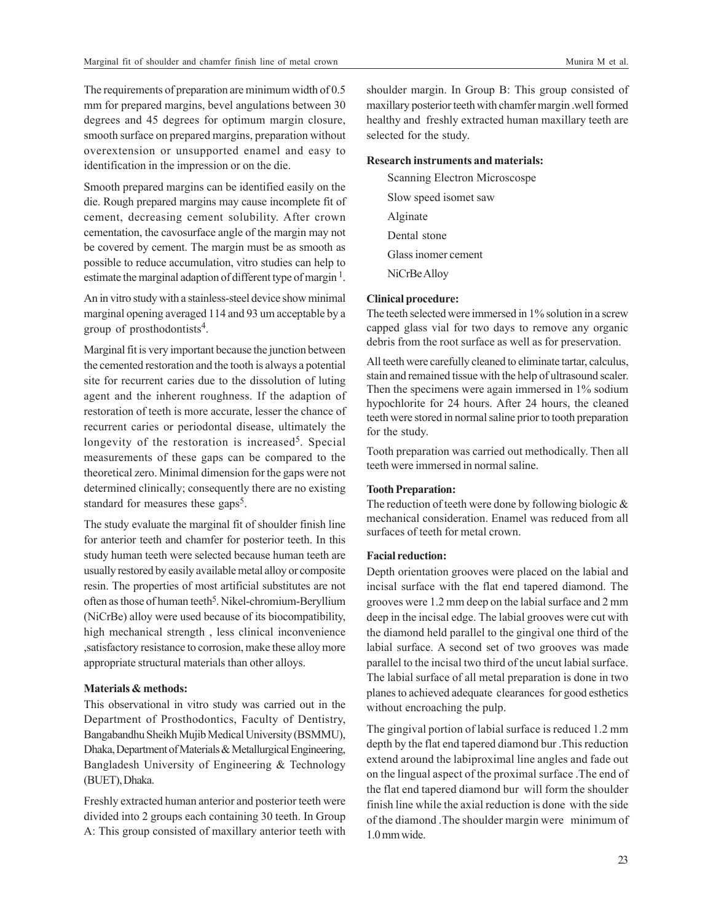The requirements of preparation are minimum width of 0.5 mm for prepared margins, bevel angulations between 30 degrees and 45 degrees for optimum margin closure, smooth surface on prepared margins, preparation without overextension or unsupported enamel and easy to identification in the impression or on the die.

Smooth prepared margins can be identified easily on the die. Rough prepared margins may cause incomplete fit of cement, decreasing cement solubility. After crown cementation, the cavosurface angle of the margin may not be covered by cement. The margin must be as smooth as possible to reduce accumulation, vitro studies can help to estimate the marginal adaption of different type of margin<sup>1</sup>.

An in vitro study with a stainless-steel device show minimal marginal opening averaged 114 and 93 um acceptable by a group of prosthodontists<sup>4</sup>.

Marginal fit is very important because the junction between the cemented restoration and the tooth is always a potential site for recurrent caries due to the dissolution of luting agent and the inherent roughness. If the adaption of restoration of teeth is more accurate, lesser the chance of recurrent caries or periodontal disease, ultimately the longevity of the restoration is increased<sup>5</sup>. Special measurements of these gaps can be compared to the theoretical zero. Minimal dimension for the gaps were not determined clinically; consequently there are no existing standard for measures these gaps<sup>5</sup>.

The study evaluate the marginal fit of shoulder finish line for anterior teeth and chamfer for posterior teeth. In this study human teeth were selected because human teeth are usually restored by easily available metal alloy or composite resin. The properties of most artificial substitutes are not often as those of human teeth<sup>5</sup>. Nikel-chromium-Beryllium (NiCrBe) alloy were used because of its biocompatibility, high mechanical strength , less clinical inconvenience ,satisfactory resistance to corrosion, make these alloy more appropriate structural materials than other alloys.

#### **Materials & methods:**

This observational in vitro study was carried out in the Department of Prosthodontics, Faculty of Dentistry, Bangabandhu Sheikh Mujib Medical University (BSMMU), Dhaka, Department of Materials & Metallurgical Engineering, Bangladesh University of Engineering & Technology (BUET), Dhaka.

Freshly extracted human anterior and posterior teeth were divided into 2 groups each containing 30 teeth. In Group A: This group consisted of maxillary anterior teeth with shoulder margin. In Group B: This group consisted of maxillary posterior teeth with chamfer margin .well formed healthy and freshly extracted human maxillary teeth are selected for the study.

# **Research instruments and materials:**

Scanning Electron Microscospe Slow speed isomet saw Alginate Dental stone Glass inomer cement NiCrBe Alloy

# **Clinical procedure:**

The teeth selected were immersed in 1% solution in a screw capped glass vial for two days to remove any organic debris from the root surface as well as for preservation.

All teeth were carefully cleaned to eliminate tartar, calculus, stain and remained tissue with the help of ultrasound scaler. Then the specimens were again immersed in 1% sodium hypochlorite for 24 hours. After 24 hours, the cleaned teeth were stored in normal saline prior to tooth preparation for the study.

Tooth preparation was carried out methodically. Then all teeth were immersed in normal saline.

# **Tooth Preparation:**

The reduction of teeth were done by following biologic & mechanical consideration. Enamel was reduced from all surfaces of teeth for metal crown.

#### **Facial reduction:**

Depth orientation grooves were placed on the labial and incisal surface with the flat end tapered diamond. The grooves were 1.2 mm deep on the labial surface and 2 mm deep in the incisal edge. The labial grooves were cut with the diamond held parallel to the gingival one third of the labial surface. A second set of two grooves was made parallel to the incisal two third of the uncut labial surface. The labial surface of all metal preparation is done in two planes to achieved adequate clearances for good esthetics without encroaching the pulp.

The gingival portion of labial surface is reduced 1.2 mm depth by the flat end tapered diamond bur .This reduction extend around the labiproximal line angles and fade out on the lingual aspect of the proximal surface .The end of the flat end tapered diamond bur will form the shoulder finish line while the axial reduction is done with the side of the diamond .The shoulder margin were minimum of 1.0 mm wide.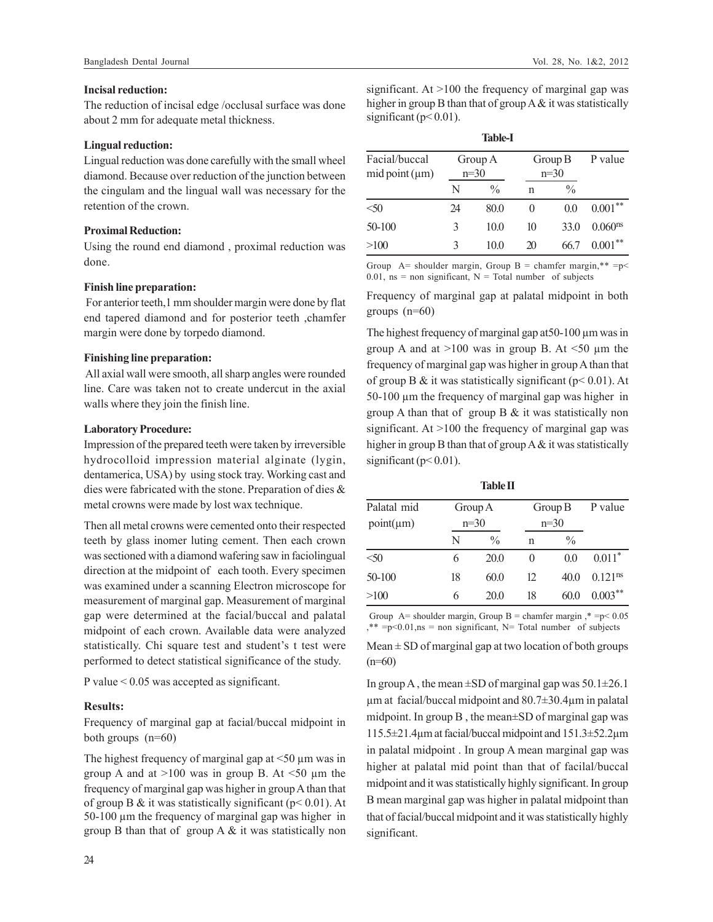# **Incisal reduction:**

The reduction of incisal edge /occlusal surface was done about 2 mm for adequate metal thickness.

# **Lingual reduction:**

Lingual reduction was done carefully with the small wheel diamond. Because over reduction of the junction between the cingulam and the lingual wall was necessary for the retention of the crown.

# **Proximal Reduction:**

Using the round end diamond , proximal reduction was done.

# **Finish line preparation:**

 For anterior teeth,1 mm shoulder margin were done by flat end tapered diamond and for posterior teeth ,chamfer margin were done by torpedo diamond.

# **Finishing line preparation:**

All axial wall were smooth, all sharp angles were rounded line. Care was taken not to create undercut in the axial walls where they join the finish line.

# **Laboratory Procedure:**

Impression of the prepared teeth were taken by irreversible hydrocolloid impression material alginate (lygin, dentamerica, USA) by using stock tray. Working cast and dies were fabricated with the stone. Preparation of dies & metal crowns were made by lost wax technique.

Then all metal crowns were cemented onto their respected teeth by glass inomer luting cement. Then each crown was sectioned with a diamond wafering saw in faciolingual direction at the midpoint of each tooth. Every specimen was examined under a scanning Electron microscope for measurement of marginal gap. Measurement of marginal gap were determined at the facial/buccal and palatal midpoint of each crown. Available data were analyzed statistically. Chi square test and student's t test were performed to detect statistical significance of the study.

P value < 0.05 was accepted as significant.

# **Results:**

Frequency of marginal gap at facial/buccal midpoint in both groups (n=60)

The highest frequency of marginal gap at  $\leq 50 \text{ µm}$  was in group A and at  $>100$  was in group B. At  $<50$  µm the frequency of marginal gap was higher in group A than that of group B & it was statistically significant ( $p < 0.01$ ). At 50-100 µm the frequency of marginal gap was higher in group B than that of group  $A \&$  it was statistically non

significant. At >100 the frequency of marginal gap was higher in group B than that of group A & it was statistically significant ( $p<0.01$ ).

| <b>Table-I</b>                  |                   |               |                   |                |                     |  |  |
|---------------------------------|-------------------|---------------|-------------------|----------------|---------------------|--|--|
| Facial/buccal<br>mid point (µm) | Group A<br>$n=30$ |               | Group B<br>$n=30$ |                | P value             |  |  |
|                                 | N                 | $\frac{0}{0}$ | n                 | $\frac{0}{0}$  |                     |  |  |
| < 50                            | 24                | 80.0          | 0                 | 0 <sub>0</sub> | $0.001***$          |  |  |
| 50-100                          | 3                 | 10.0          | 10                | 33.0           | 0.060 <sup>ns</sup> |  |  |
| >100                            | 3                 | 10.0          | 20                | 66 7           | $0.001***$          |  |  |

Group A= shoulder margin, Group B = chamfer margin,\*\* = $p$  < 0.01, ns = non significant,  $N =$ Total number of subjects

Frequency of marginal gap at palatal midpoint in both groups  $(n=60)$ 

The highest frequency of marginal gap at 50-100  $\mu$ m was in group A and at  $>100$  was in group B. At  $\leq 50$  µm the frequency of marginal gap was higher in group A than that of group B & it was statistically significant ( $p$  < 0.01). At 50-100 µm the frequency of marginal gap was higher in group A than that of group B & it was statistically non significant. At >100 the frequency of marginal gap was higher in group B than that of group  $A \&$  it was statistically significant ( $p < 0.01$ ).

**Table II**

| Palatal mid<br>$point(\mu m)$ |    | Group A<br>$n=30$ |    | Group B<br>$n=30$ |                       |
|-------------------------------|----|-------------------|----|-------------------|-----------------------|
|                               | N  | $\frac{0}{0}$     | n  | $\frac{0}{0}$     |                       |
| < 50                          | 6  | 20.0              |    | 0.0               | $0.011*$              |
| 50-100                        | 18 | 60.0              | 12 | 40.0              | $0.121$ <sup>ns</sup> |
| >100                          | 6  | 20.0              | 18 | 60.0              | $0.003***$            |

Group  $A=$  shoulder margin, Group  $B =$  chamfer margin  $* = p < 0.05$  $*$  =p<0.01,ns = non significant, N= Total number of subjects

Mean  $\pm$  SD of marginal gap at two location of both groups  $(n=60)$ 

In group A, the mean  $\pm$ SD of marginal gap was 50.1 $\pm$ 26.1  $\mu$ m at facial/buccal midpoint and 80.7 $\pm$ 30.4 $\mu$ m in palatal midpoint. In group B , the mean±SD of marginal gap was 115.5±21.4µm at facial/buccal midpoint and 151.3±52.2µm in palatal midpoint . In group A mean marginal gap was higher at palatal mid point than that of facilal/buccal midpoint and it was statistically highly significant. In group B mean marginal gap was higher in palatal midpoint than that of facial/buccal midpoint and it was statistically highly significant.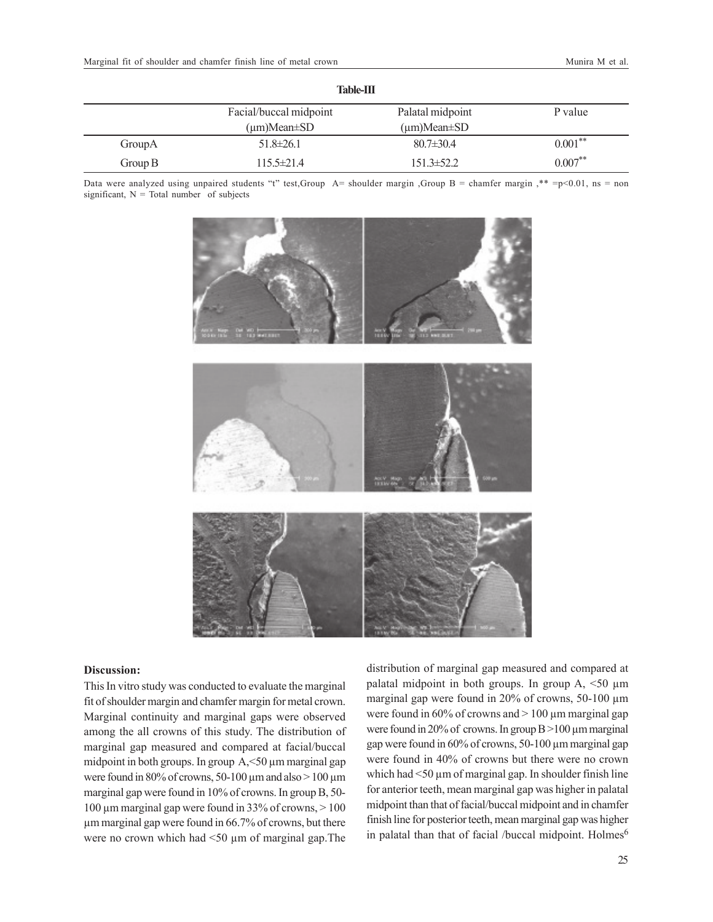| <b>Table-III</b> |                         |                         |            |  |  |  |
|------------------|-------------------------|-------------------------|------------|--|--|--|
|                  | Facial/buccal midpoint  | Palatal midpoint        | P value    |  |  |  |
|                  | $(\mu m)$ Mean $\pm$ SD | $(\mu m)$ Mean $\pm$ SD |            |  |  |  |
| GroupA           | $51.8 \pm 26.1$         | $80.7 \pm 30.4$         | $0.001***$ |  |  |  |
| Group $B$        | $115.5 \pm 21.4$        | $151.3 \pm 52.2$        | $0.007***$ |  |  |  |

Data were analyzed using unpaired students "t" test,Group A= shoulder margin ,Group B = chamfer margin ,\*\* =p<0.01, ns = non significant,  $N = Total number of subjects$ 



#### **Discussion:**

This In vitro study was conducted to evaluate the marginal fit of shoulder margin and chamfer margin for metal crown. Marginal continuity and marginal gaps were observed among the all crowns of this study. The distribution of marginal gap measured and compared at facial/buccal midpoint in both groups. In group A, <50 µm marginal gap were found in 80% of crowns, 50-100  $\mu$ m and also > 100  $\mu$ m marginal gap were found in 10% of crowns. In group B, 50- 100  $\mu$ m marginal gap were found in 33% of crowns,  $> 100$ µm marginal gap were found in 66.7% of crowns, but there were no crown which had <50  $\mu$ m of marginal gap. The

distribution of marginal gap measured and compared at palatal midpoint in both groups. In group  $A$ , <50  $\mu$ m marginal gap were found in 20% of crowns, 50-100  $\mu$ m were found in  $60\%$  of crowns and  $> 100 \mu$ m marginal gap were found in 20% of crowns. In group  $B > 100 \mu m$  marginal gap were found in 60% of crowns, 50-100 µm marginal gap were found in 40% of crowns but there were no crown which had <50  $\mu$ m of marginal gap. In shoulder finish line for anterior teeth, mean marginal gap was higher in palatal midpoint than that of facial/buccal midpoint and in chamfer finish line for posterior teeth, mean marginal gap was higher in palatal than that of facial /buccal midpoint. Holmes<sup>6</sup>